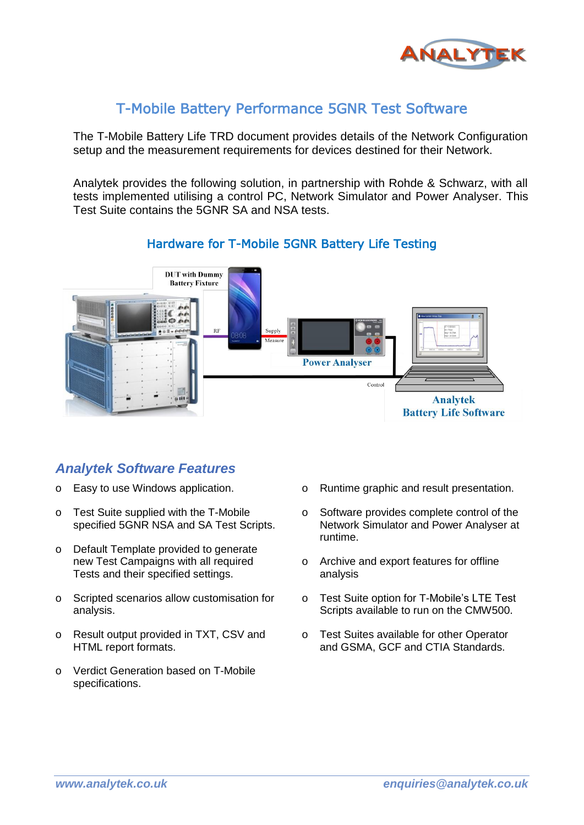

## T-Mobile Battery Performance 5GNR Test Software

The T-Mobile Battery Life TRD document provides details of the Network Configuration setup and the measurement requirements for devices destined for their Network.

Analytek provides the following solution, in partnership with Rohde & Schwarz, with all tests implemented utilising a control PC, Network Simulator and Power Analyser. This Test Suite contains the 5GNR SA and NSA tests.



#### Hardware for T-Mobile 5GNR Battery Life Testing

## *Analytek Software Features*

- o Easy to use Windows application.
- o Test Suite supplied with the T-Mobile specified 5GNR NSA and SA Test Scripts.
- o Default Template provided to generate new Test Campaigns with all required Tests and their specified settings.
- o Scripted scenarios allow customisation for analysis.
- o Result output provided in TXT, CSV and HTML report formats.
- o Verdict Generation based on T-Mobile specifications.
- o Runtime graphic and result presentation.
- o Software provides complete control of the Network Simulator and Power Analyser at runtime.
- o Archive and export features for offline analysis
- o Test Suite option for T-Mobile's LTE Test Scripts available to run on the CMW500.
- o Test Suites available for other Operator and GSMA, GCF and CTIA Standards.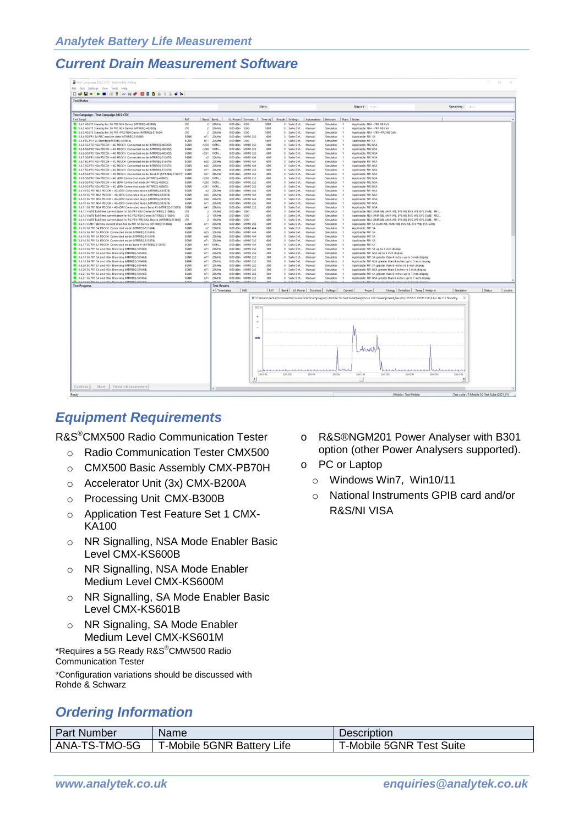### *Current Drain Measurement Software*

| Test Campaign 2022.CDC - Battery Life Testing                                                                                                          |                     |                                                    |                          |                                        |             |          |                                              |                                                        |                               |                |                                                                                                                                                    |                   |                                               | $\Box$  |
|--------------------------------------------------------------------------------------------------------------------------------------------------------|---------------------|----------------------------------------------------|--------------------------|----------------------------------------|-------------|----------|----------------------------------------------|--------------------------------------------------------|-------------------------------|----------------|----------------------------------------------------------------------------------------------------------------------------------------------------|-------------------|-----------------------------------------------|---------|
| File Test Settings View Tools Help                                                                                                                     |                     |                                                    |                          |                                        |             |          |                                              |                                                        |                               |                |                                                                                                                                                    |                   |                                               |         |
| <b>DGB-B-B8</b> / HP 000 HB 2 0X                                                                                                                       |                     |                                                    |                          |                                        |             |          |                                              |                                                        |                               |                |                                                                                                                                                    |                   |                                               |         |
| <b>Test Status</b>                                                                                                                                     |                     |                                                    |                          |                                        |             |          |                                              |                                                        |                               |                |                                                                                                                                                    |                   |                                               |         |
|                                                                                                                                                        |                     |                                                    |                          |                                        | State:      |          |                                              |                                                        |                               |                | Flansed: monder                                                                                                                                    | Remaining: ------ |                                               |         |
| Test Campaign - Test Campaign 2022.CDC                                                                                                                 |                     |                                                    |                          |                                        |             |          |                                              |                                                        |                               |                |                                                                                                                                                    |                   |                                               |         |
| <b>Test Script</b>                                                                                                                                     | RAT                 | Band Band                                          |                          | UL-Power Scenario                      | Time (s)    |          |                                              | Results Settings   Automation   Network   Runs   Notes |                               |                |                                                                                                                                                    |                   |                                               |         |
| 3.6.1 4G LTE Standby for 5G FR2 NSA Device (MTRREQ-483800)                                                                                             | LTE                 | $\mathbf{z}$<br>20MHz                              | 0.00 dBm \$150           |                                        | 1800        |          | 0 Suite Def                                  | Manual                                                 | Simulator                     |                | Applicable: NSA - FR2 NB Cell                                                                                                                      |                   |                                               |         |
| 3.6.2 4G LTE Standby for SG FR1 NSA Device (MTRREQ-483801)                                                                                             | LTE                 | 20MHz<br>$\overline{z}$                            | 0.00 dBm \$ISO           |                                        | 1800        |          | 0 Suite Def                                  | Manual                                                 | Simulator                     |                | Applicable: NSA - FR1 NB Cell                                                                                                                      |                   |                                               |         |
| 3.6.3 4G LTE Standby for 5G FR1-FR2 NSA Device (MTRREQ-513654)                                                                                         | <b>LTE</b>          | $\rightarrow$<br>205,6Hz                           | 0.00 dBm SISO            |                                        | 1800        |          | 0. Suite Def., Manual                        |                                                        | Simulator                     |                | Applicable: NSA - FR1+FR2 NB Cells                                                                                                                 |                   |                                               |         |
| 3.6.4 SG FR1 SA RRC inactive state (MTRREO-513660)<br>3.6.5 5G FR1 SA Standby(MTRREQ-513656)                                                           | SGNE<br><b>SGNR</b> | n71<br>20MHz<br>n71<br>20MHz                       | 0.00 dBm 950             | 0.00 dBm MIMO 2x2                      | 600<br>1800 |          | 0 Suite Def<br>0 Suite Def.                  | Manual<br>Manual                                       | Simulator<br>Simulator        |                | Applicable: FR1 SA<br>Applicable: FR1 SA                                                                                                           |                   |                                               |         |
| 3.6.6 5G FR2 NSA PDCCH + 4G PDCCH Connected mode (MTRREQ-483802)                                                                                       | SGNR                | n258<br>100M.                                      | 0.00 dBm                 | <b>MIMO 2x2</b>                        | 600         |          | 0 Suite Def                                  | Manual                                                 | Simulator                     |                | Applicable: FR2 NSA                                                                                                                                |                   |                                               |         |
| 3.6.6 5G FR2 NSA PDCCH + 4G PDCCH Connected mode (MTRREQ-483802)                                                                                       | <b>SGNR</b>         | n260<br>100M                                       | $0.00$ dBm               | MIMO 2x2                               | 600         |          | 0 Suite Def                                  | Manual                                                 | Simulator                     |                | Applicable: FR2 NSA                                                                                                                                |                   |                                               |         |
| 3.6.6 5G FR2 NSA PDCCH + 4G PDCCH Connected mode (MTRREQ-483802)                                                                                       | <b>SGNR</b>         | n261<br>100M.                                      | $0.00$ dBm               | MIMO 2x2                               | 600         |          | 0 Suite Def                                  | Manual                                                 | Simulator                     |                | Annlicable: FR2 NSA                                                                                                                                |                   |                                               |         |
| 3.6.7 5G FR1 NSA PDCCH + 4G PDCCH Connected mode (MTRREQ-513676)                                                                                       | SGNR                | n2<br>20MHz                                        | 0.00 dBm                 | MIMO 4s                                | 600         |          | 0 Suite Def                                  | Manual                                                 | Simulator                     |                | Applicable: FR1 NSA                                                                                                                                |                   |                                               |         |
| 3.6.7 5G FR1 NSA PDCCH + 4G PDCCH Connected mode (MTRREQ-513676)<br>3.6.7 5G FR1 NSA PDCCH + 4G PDCCH Connected mode (MTRREQ-513676)                   | <b>SGNR</b><br>5GNR | n25<br>20MHz<br>n66<br>20MHz                       | 0.00 dBm<br>$0.00$ dBm   | MIMO 4x4<br>MIMO 4x4                   | 600<br>600  |          | 0 Suite Def<br>0 Suite Def                   | Manual<br>Manual                                       | Simulator<br>Simulator        |                | Applicable: FR1 NSA<br>Applicable: FR1 NSA                                                                                                         |                   |                                               |         |
| 3.6.7 5G FR1 NSA PDCCH + 4G PDCCH Connected mode (MTRREQ-513676)                                                                                       | SGNR                | n71 20MHz                                          | $0.00$ dBm               | <b>MIMO 2x2</b>                        | 600         |          | 0 Suite Def                                  | Manual                                                 | Simulator                     |                | Applicable: FR1 NSA                                                                                                                                |                   |                                               |         |
| 3.6.8 5G FR1 NSA PDCCH - 4G PDCCH Connected mode Band 41 (MTRREQ-513677)                                                                               | 5GNR                | n41<br>20MHz                                       | $0.00$ dBm               | MIMO 4x4                               | 600         |          | 0 Suite Def                                  | Manual                                                 | Simulator                     |                | Applicable: FR1 NSA                                                                                                                                |                   |                                               |         |
| 3.6.9 5G FR2 NSA PDCCH + 4G cDRX Connected mode IMTRREQ-483803)                                                                                        | SGNR                | n258<br>100M                                       | 0.00 dBm                 | MIMO <sub>2x2</sub>                    | 600         |          | 0 Suite Def                                  | Manual                                                 | Simulator                     |                | Applicable: FR2 NSA                                                                                                                                |                   |                                               |         |
| 3.6.9 SG FR2 NSA PDCCH = 4G cDRX Connected mode IMTRREQ-483803)                                                                                        | SGNR                | n260<br>100M                                       | $0.00$ dBm               | MIMO <sub>2x2</sub>                    | 600         |          | 0 Suite Def                                  | Manual                                                 | Simulator                     |                | Applicable: FR2 NSA                                                                                                                                |                   |                                               |         |
| 3.6.9 SG FR2 NSA PDCCH + 4G cDRX Connected mode IMTRREO-483803)<br>3.6.10 SG FR1 NSA PDCCH + 4G cDRX Connected mode (MTRREQ-513678)                    | <b>SGNR</b><br>SGNR | n261<br>100M<br>20MHz<br>n2                        | $0.00$ dBm<br>$0.00$ dBm | <b>MIMO 2x2</b><br>MIMO 4x4            | 600<br>600  |          | 0 Suite Def<br>0 Suite Def.,                 | Manual<br>Manual                                       | Simulator<br>Simulator        |                | Applicable: FR2 NSA<br>Applicable: FR1 NSA                                                                                                         |                   |                                               |         |
| 3.6.10 SG FR1 NSA PDCCH + 4G cDRX Connected mode (MTRREQ-513678)                                                                                       | SGNR                | n25<br>20MHz                                       | $0.00$ dBm               | MIMO 4x4                               | 600         |          | 0 Suite Def                                  | Manual                                                 | Simulator                     |                | Applicable: FR1 NSA                                                                                                                                |                   |                                               |         |
| 3.6.10 5G FR1 NSA PDCCH + 4G cDRX Connected mode (MTRREQ-513678)                                                                                       | SCNR                | n66<br>20MHz                                       | $0.00$ dBm               | MIMO 4x4                               | 600         |          | 0 Suite Def                                  | Manual                                                 | Simulator                     |                | Applicable: FR1 NSA                                                                                                                                |                   |                                               |         |
| 3.6.10 SG FR1 NSA PDCCH + 4G cDRX Connected mode (MTRREQ-513678)                                                                                       | SGNR                | n71<br>20MHz                                       | $0.00$ dBm               | MIMO 2x2                               | 600         |          | 0 Suite Def                                  | Manual                                                 | Simulator                     |                | Applicable: FR1 NSA                                                                                                                                |                   |                                               |         |
| 3.6.11 SG FR1 NSA PDCCH + 4G cDRX Connected mode Band 41 (MTRREQ-513679)                                                                               | SGNR                | nd1<br>20MHz                                       | $0.00$ dBm               | MIMO 2x2                               | 600         |          | 0 Suite Def                                  | Manual                                                 | Simulator                     |                | Applicable: FR1 NSA                                                                                                                                |                   |                                               |         |
| 3.6.12 VolTE TalkTime current drain for SG FR1 NSA Device (MTRREO-513663)<br>3.6.13 VolTE TalkTime current drain for SG FR2 NSA Device (MTRREQ-513664) | LTE<br>LTE          | $\overline{2}$<br>10MHz<br>10MHz<br>$\overline{2}$ | $0.00$ dBm<br>0.00 dBm   | <b>SISO</b><br><b>SISO</b>             | 600<br>600  |          | 0 Suite Def<br>0 Suite Def                   | Manual<br>Manual                                       | Simulator<br>Simulator        |                | Applicable: NSA (AMR-NB, AMR-WB, EVS-NB, EVS-WB, EVS-SWB) - FR1<br>Applicable: NSA (AMR-NB, AMR-WB, EVS-NB, EVS-WB, EVS-SWB) - FR2                 |                   |                                               |         |
| 3.6.14 VolTE TalkTime current drain for SG FR1+FR2 NSA Device (MTRREQ-513665)                                                                          | LTE                 | 10MHz<br>$\overline{z}$                            | $0.00$ dBm               | 5150                                   | 600         |          | 0 Suite Def                                  | Manual                                                 | Simulator                     |                | Applicable: NSA (AMR-NB, AMR-WB, EVS-NB, EVS-WB, EVS-SWB) - FR1                                                                                    |                   |                                               |         |
| 3.6.15 VoNR TalkTime current drain for SG FR1 SA Device (MTRREQ-513666)                                                                                | 5GNR                | n71 20MHz                                          |                          | 0.00 dBm MIMO 2x2                      | 600         |          | 0 Suite Def Manual                           |                                                        | Simulator                     |                | Applicable: FR1 SA (AMR-NB, AMR-WB, EVS-NB, EVS-WB, EVS-SWB)                                                                                       |                   |                                               |         |
| 3.6.16 SG FR1 SA PDCCH Connected mode (MTRREQ-513674)                                                                                                  | 5GNR                | n2<br>20MHz                                        |                          | 0.00 dBm MIMO 4x4                      | 600         |          | 0 Suite Def Manual                           |                                                        | Simulator                     |                | Applicable: FR1 SA                                                                                                                                 |                   |                                               |         |
| 3.6.16 SG FR1 SA PDCCH Connected mode (MTRREQ-513674)                                                                                                  | SGNR                | n25<br>$200$ MHz                                   |                          | 0.00 dBm MIMO 4x4                      | 600         |          | 0 Suite Def.,, Manual                        |                                                        | Simulator                     |                | Applicable: FR1 SA                                                                                                                                 |                   |                                               |         |
| 3.6.16 5G FR1 SA PDCCH Connected mode (MTRREQ-513674)<br>3.6.16 SG FR1 SA PDCCH Connected mode (MTRREO-S13674)                                         | SGNR<br>5GNR        | ngg<br>20MHz<br>n71 20MHz                          |                          | 0.00 dBm MIMO 4x4<br>0.00 dBm MIMO 2x2 | 600<br>600  |          | 0 Suite Def., Manual<br>0 Suite Def., Manual |                                                        | <b>Simulator</b><br>Simulator |                | Applicable: FR1 SA<br>Applicable: FR1 SA                                                                                                           |                   |                                               |         |
| 8 3 6 17 SG FR1 SA PDCCH, Connected mode Band 41 IMTRRFO-513675)                                                                                       | SGNR                | n41 100M                                           |                          | 0.00 dBm MIMO 4x4                      | 600         |          | 0 Suite Def., Manual                         |                                                        | Simulator                     |                | Annlicable: FR1 SA                                                                                                                                 |                   |                                               |         |
| 3.6.18 5G FR1 SA and NSA Browsing (MTRREQ-519462)                                                                                                      | <b>SGNR</b>         | n71 20MHz                                          |                          | 0.00 dBm MIMO 2x2                      | 300         |          | 0 Suite Def., Manual                         |                                                        | Simulator                     |                | Applicable: FR1 SA up to 4 inch display                                                                                                            |                   |                                               |         |
| 3.6.18 SG FR1 SA and NSA Browsing (MTRREQ-519462)                                                                                                      | 5GNR                | n71 20MHz                                          |                          | 0.00 dBm MIMO 2x2                      | 300         |          | 0 Suite Def., Manual                         |                                                        | Simulator                     |                | Applicable: FR1 NSA up to 4 inch display                                                                                                           |                   |                                               |         |
| 3.6.19 5G FR1 SA and NSA Browsing (MTRREQ-519463)                                                                                                      | SGNR                | n71 20MHz                                          |                          | 0.00 dBm MIMO 2x2                      | 300         |          | 0 Suite Def Manual                           |                                                        | Simulator                     |                | Applicable: FR1 SA greater than 4 inches up to 5 inch display                                                                                      |                   |                                               |         |
| 3.6.19 SG FR1 SA and NSA Browsing (MTRREQ-519463)<br>3.6.20 SG FR1 SA and NSA Browsing (MTRREQ-519464)                                                 | <b>SGNR</b><br>5GNR | n71 20MHz<br>n71 20MHz                             | 0.00 dBm<br>$0.00$ dBm   | <b>MIMO 2x2</b><br>MIMO 2x2            | 300<br>300  |          | 0 Suite Def Manual<br>0 Suite Def., Manual   |                                                        | Simulator<br>Simulator        |                | Applicable: FR1 NSA greater than 4 inches up to 5 inch display<br>Applicable: FR1 SA greater than 5 inches to 6 inch display                       |                   |                                               |         |
| 3.6.20 SG FR1 SA and NSA Browsing (MTRREQ-519464)                                                                                                      | <b>SGNR</b>         | 20MHz<br>n71                                       |                          | 0.00 dBm MIMO 2x2                      | 300         |          | 0 Suite Def Manual                           |                                                        | Simulator                     |                | Applicable: FR1 NSA greater than 5 inches to 6 inch display                                                                                        |                   |                                               |         |
| 3.6.21 SG FR1 SA and NSA Browsing (MTRREQ-519465)                                                                                                      | <b>SGNR</b>         | 20MHz<br>n71                                       |                          | 0.00 dBm MIMO 2x2                      | 300         |          | 0 Suite Def Manual                           |                                                        | Simulator                     |                | Applicable: FR1 SA greater than 6 inches up to 7 inch display                                                                                      |                   |                                               |         |
| 3.6.21 5G FR1 SA and NSA Browsing (MTRREQ-519465)                                                                                                      | <b>SGNR</b>         | n71<br>20MHz                                       |                          | 0.00 dBm MIMO 2x2                      | 300         |          | 0 Suite Def Manual                           |                                                        | Simulator                     |                | Applicable: FR1 NSA greater than 6 inches up to 7 inch display                                                                                     |                   |                                               |         |
| <b>A 26 116C ERLEA MANIEL BALLAIRE AFFRICA E10166</b>                                                                                                  | <b>KCMB</b>         | SOLIGAN                                            |                          | 0.00-48-4 14110-0-2                    | 300         |          | A Cuita Put                                  | Advanced                                               | Eimsdate                      |                | Lanticshin, CO1 CA assatze than 7 inches up to 9 inch di                                                                                           |                   |                                               |         |
| <b>Test Progress</b>                                                                                                                                   |                     | <b>Test Results</b>                                | # Timestamp              | IMEI                                   |             |          |                                              | RAT   Band   UL-Power   Duration   Voltage   Current   |                               |                | Energy Deviation Temp Analyser<br>Power                                                                                                            | Simulator         | Status                                        | Verdict |
|                                                                                                                                                        |                     |                                                    |                          |                                        |             |          |                                              |                                                        |                               |                |                                                                                                                                                    |                   |                                               |         |
|                                                                                                                                                        |                     |                                                    |                          |                                        |             |          |                                              |                                                        |                               |                | A C:\Users\micha\Documents\CurrentDrain\Campaigns\T-Mobile 5G Test Suite\Neighbour Cell Development_Results\355573110021356\3.6.2 4G LTE Standby X |                   |                                               |         |
|                                                                                                                                                        |                     |                                                    |                          |                                        |             |          |                                              |                                                        |                               |                |                                                                                                                                                    |                   |                                               |         |
|                                                                                                                                                        |                     |                                                    |                          |                                        | 500.0       |          |                                              |                                                        |                               |                |                                                                                                                                                    |                   |                                               |         |
|                                                                                                                                                        |                     |                                                    |                          | $\ddot{}$                              |             |          |                                              |                                                        |                               |                |                                                                                                                                                    |                   |                                               |         |
|                                                                                                                                                        |                     |                                                    |                          |                                        |             |          |                                              |                                                        |                               |                |                                                                                                                                                    |                   |                                               |         |
|                                                                                                                                                        |                     |                                                    |                          | $\equiv$                               |             |          |                                              |                                                        |                               |                |                                                                                                                                                    |                   |                                               |         |
|                                                                                                                                                        |                     |                                                    |                          |                                        |             |          |                                              |                                                        |                               |                |                                                                                                                                                    |                   |                                               |         |
|                                                                                                                                                        |                     |                                                    |                          |                                        |             |          |                                              |                                                        |                               |                |                                                                                                                                                    |                   |                                               |         |
|                                                                                                                                                        |                     |                                                    |                          | mA                                     |             |          |                                              |                                                        |                               |                |                                                                                                                                                    |                   |                                               |         |
|                                                                                                                                                        |                     |                                                    |                          |                                        |             |          |                                              |                                                        |                               |                |                                                                                                                                                    |                   |                                               |         |
|                                                                                                                                                        |                     |                                                    |                          |                                        |             |          |                                              |                                                        |                               |                | WWWW                                                                                                                                               |                   |                                               |         |
|                                                                                                                                                        |                     |                                                    |                          |                                        |             |          |                                              |                                                        |                               |                |                                                                                                                                                    |                   |                                               |         |
|                                                                                                                                                        |                     |                                                    |                          |                                        |             |          |                                              |                                                        |                               |                |                                                                                                                                                    |                   |                                               |         |
|                                                                                                                                                        |                     |                                                    |                          |                                        |             |          |                                              |                                                        |                               |                |                                                                                                                                                    |                   |                                               |         |
|                                                                                                                                                        |                     |                                                    |                          |                                        | 0.0         |          |                                              | 111111111111111111111111                               |                               | <b>ALCOHOL</b> | <u>Williar alarala</u>                                                                                                                             | <u>Waaraaaan</u>  |                                               |         |
|                                                                                                                                                        |                     |                                                    |                          |                                        | 1 Ken Kde   | 1 Sm SSe |                                              | 16mile                                                 | 16mGs                         |                | 16m 14s<br>16m 19s<br>16m <sub>2de</sub><br>16m 79s                                                                                                | 16m34s            |                                               |         |
|                                                                                                                                                        |                     |                                                    |                          | $\left  \cdot \right $                 |             |          |                                              |                                                        |                               |                |                                                                                                                                                    |                   |                                               |         |
| Restart Measurement<br>Continue:<br>Abort                                                                                                              |                     |                                                    |                          |                                        |             |          |                                              |                                                        |                               |                |                                                                                                                                                    |                   |                                               |         |
|                                                                                                                                                        |                     |                                                    |                          |                                        |             |          |                                              |                                                        |                               |                |                                                                                                                                                    |                   |                                               |         |
| Ready                                                                                                                                                  |                     |                                                    |                          |                                        |             |          |                                              |                                                        |                               |                | Mobile: Test Mobile                                                                                                                                |                   | Test suite : T-Mobile 5G Test Suite (2021-01) |         |

## *Equipment Requirements*

R&S®CMX500 Radio Communication Tester

- o Radio Communication Tester CMX500
- o CMX500 Basic Assembly CMX-PB70H
- o Accelerator Unit (3x) CMX-B200A
- o Processing Unit CMX-B300B
- o Application Test Feature Set 1 CMX-KA100
- o NR Signalling, NSA Mode Enabler Basic Level CMX-KS600B
- o NR Signalling, NSA Mode Enabler Medium Level CMX-KS600M
- o NR Signalling, SA Mode Enabler Basic Level CMX-KS601B
- o NR Signaling, SA Mode Enabler Medium Level CMX-KS601M

\*Requires a 5G Ready R&S®CMW500 Radio Communication Tester \*Configuration variations should be discussed with Rohde & Schwarz

## *Ordering Information*

| $\Omega$ | R&S®NGM201 Power Analyser with B301       |
|----------|-------------------------------------------|
|          | option (other Power Analysers supported). |

- o PC or Laptop
	- o Windows Win7, Win10/11
	- o National Instruments GPIB card and/or R&S/NI VISA

| <b>Part Number</b> | <b>Name</b>                | Description              |
|--------------------|----------------------------|--------------------------|
| ANA-TS-TMO-5G      | T-Mobile 5GNR Battery Life | T-Mobile 5GNR Test Suite |